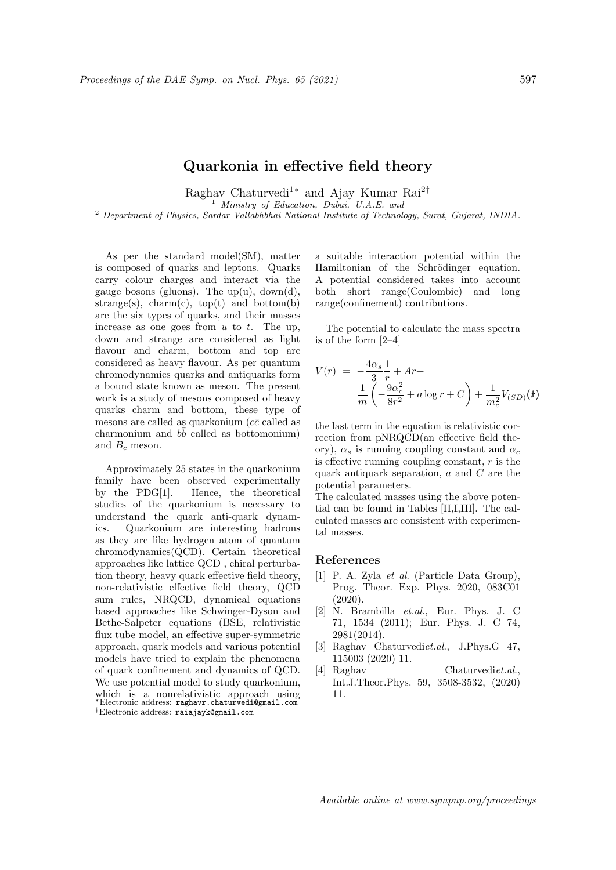## Quarkonia in effective field theory

Raghav Chaturvedi<sup>1</sup><sup>∗</sup> and Ajay Kumar Rai<sup>2</sup>†

<sup>1</sup> Ministry of Education, Dubai, U.A.E. and

<sup>2</sup> Department of Physics, Sardar Vallabhbhai National Institute of Technology, Surat, Gujarat, INDIA.

As per the standard model(SM), matter is composed of quarks and leptons. Quarks carry colour charges and interact via the gauge bosons (gluons). The up(u),  $down(d)$ , strange(s), charm(c), top(t) and bottom(b) are the six types of quarks, and their masses increase as one goes from  $u$  to  $t$ . The up, down and strange are considered as light flavour and charm, bottom and top are considered as heavy flavour. As per quantum chromodynamics quarks and antiquarks form a bound state known as meson. The present work is a study of mesons composed of heavy quarks charm and bottom, these type of mesons are called as quarkonium ( $c\bar{c}$  called as charmonium and  $b\bar{b}$  called as bottomonium) and  $B_c$  meson.

Approximately 25 states in the quarkonium family have been observed experimentally by the PDG[1]. Hence, the theoretical studies of the quarkonium is necessary to understand the quark anti-quark dynamics. Quarkonium are interesting hadrons as they are like hydrogen atom of quantum chromodynamics(QCD). Certain theoretical approaches like lattice QCD , chiral perturbation theory, heavy quark effective field theory, non-relativistic effective field theory, QCD sum rules, NRQCD, dynamical equations based approaches like Schwinger-Dyson and Bethe-Salpeter equations (BSE, relativistic flux tube model, an effective super-symmetric approach, quark models and various potential models have tried to explain the phenomena of quark confinement and dynamics of QCD. We use potential model to study quarkonium, which is a nonrelativistic approach using <sup>∗</sup>Electronic address: raghavr.chaturvedi@gmail.com †Electronic address: raiajayk@gmail.com

a suitable interaction potential within the Hamiltonian of the Schrödinger equation. A potential considered takes into account both short range(Coulombic) and long range(confinement) contributions.

The potential to calculate the mass spectra is of the form [2–4]

$$
V(r) = -\frac{4\alpha_s}{3} \frac{1}{r} + Ar +
$$
  

$$
\frac{1}{m} \left( -\frac{9\alpha_c^2}{8r^2} + a\log r + C \right) + \frac{1}{m_c^2} V_{(SD)}(\mathbf{i})
$$

the last term in the equation is relativistic correction from pNRQCD(an effective field theory),  $\alpha_s$  is running coupling constant and  $\alpha_c$ is effective running coupling constant,  $r$  is the quark antiquark separation, a and C are the potential parameters.

The calculated masses using the above potential can be found in Tables [II,I,III]. The calculated masses are consistent with experimental masses.

## References

- [1] P. A. Zyla et al. (Particle Data Group), Prog. Theor. Exp. Phys. 2020, 083C01 (2020).
- [2] N. Brambilla et.al., Eur. Phys. J. C 71, 1534 (2011); Eur. Phys. J. C 74, 2981(2014).
- [3] Raghav Chaturvediet.al., J.Phys.G 47, 115003 (2020) 11.
- [4] Raghav Chaturvediet.al., Int.J.Theor.Phys. 59, 3508-3532, (2020) 11.